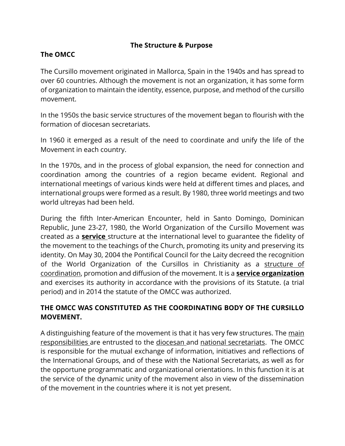#### **The Structure & Purpose**

### **The OMCC**

The Cursillo movement originated in Mallorca, Spain in the 1940s and has spread to over 60 countries. Although the movement is not an organization, it has some form of organization to maintain the identity, essence, purpose, and method of the cursillo movement.

In the 1950s the basic service structures of the movement began to flourish with the formation of diocesan secretariats.

In 1960 it emerged as a result of the need to coordinate and unify the life of the Movement in each country.

In the 1970s, and in the process of global expansion, the need for connection and coordination among the countries of a region became evident. Regional and international meetings of various kinds were held at different times and places, and international groups were formed as a result. By 1980, three world meetings and two world ultreyas had been held.

During the fifth Inter-American Encounter, held in Santo Domingo, Dominican Republic, June 23-27, 1980, the World Organization of the Cursillo Movement was created as a **service** structure at the international level to guarantee the fidelity of the movement to the teachings of the Church, promoting its unity and preserving its identity. On May 30, 2004 the Pontifical Council for the Laity decreed the recognition of the World Organization of the Cursillos in Christianity as a structure of coordination, promotion and diffusion of the movement. It is a **service organization**  and exercises its authority in accordance with the provisions of its Statute. (a trial period) and in 2014 the statute of the OMCC was authorized.

### **THE OMCC WAS CONSTITUTED AS THE COORDINATING BODY OF THE CURSILLO MOVEMENT.**

A distinguishing feature of the movement is that it has very few structures. The main responsibilities are entrusted to the diocesan and national secretariats. The OMCC is responsible for the mutual exchange of information, initiatives and reflections of the International Groups, and of these with the National Secretariats, as well as for the opportune programmatic and organizational orientations. In this function it is at the service of the dynamic unity of the movement also in view of the dissemination of the movement in the countries where it is not yet present.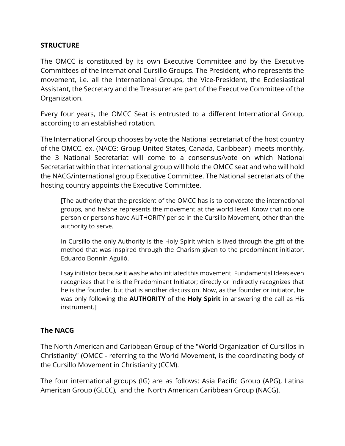#### **STRUCTURE**

The OMCC is constituted by its own Executive Committee and by the Executive Committees of the International Cursillo Groups. The President, who represents the movement, i.e. all the International Groups, the Vice-President, the Ecclesiastical Assistant, the Secretary and the Treasurer are part of the Executive Committee of the Organization.

Every four years, the OMCC Seat is entrusted to a different International Group, according to an established rotation.

The International Group chooses by vote the National secretariat of the host country of the OMCC. ex. (NACG: Group United States, Canada, Caribbean) meets monthly, the 3 National Secretariat will come to a consensus/vote on which National Secretariat within that international group will hold the OMCC seat and who will hold the NACG/international group Executive Committee. The National secretariats of the hosting country appoints the Executive Committee.

[The authority that the president of the OMCC has is to convocate the international groups, and he/she represents the movement at the world level. Know that no one person or persons have AUTHORITY per se in the Cursillo Movement, other than the authority to serve.

In Cursillo the only Authority is the Holy Spirit which is lived through the gift of the method that was inspired through the Charism given to the predominant initiator, Eduardo Bonnín Aguiló.

I say initiator because it was he who initiated this movement. Fundamental Ideas even recognizes that he is the Predominant Initiator; directly or indirectly recognizes that he is the founder, but that is another discussion. Now, as the founder or initiator, he was only following the **AUTHORITY** of the **Holy Spirit** in answering the call as His instrument.]

#### **The NACG**

The North American and Caribbean Group of the "World Organization of Cursillos in Christianity" (OMCC - referring to the World Movement, is the coordinating body of the Cursillo Movement in Christianity (CCM).

The four international groups (IG) are as follows: Asia Pacific Group (APG), Latina American Group (GLCC), and the North American Caribbean Group (NACG).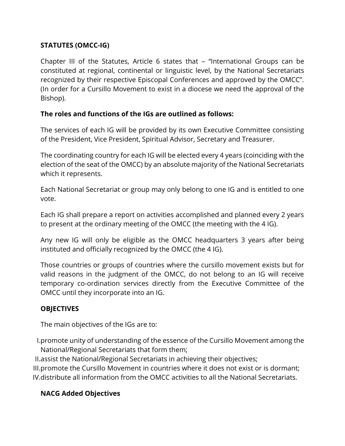### **STATUTES (OMCC-IG)**

Chapter III of the Statutes, Article 6 states that – "International Groups can be constituted at regional, continental or linguistic level, by the National Secretariats recognized by their respective Episcopal Conferences and approved by the OMCC". (In order for a Cursillo Movement to exist in a diocese we need the approval of the Bishop).

#### **The roles and functions of the IGs are outlined as follows:**

The services of each IG will be provided by its own Executive Committee consisting of the President, Vice President, Spiritual Advisor, Secretary and Treasurer.

The coordinating country for each IG will be elected every 4 years (coinciding with the election of the seat of the OMCC) by an absolute majority of the National Secretariats which it represents.

Each National Secretariat or group may only belong to one IG and is entitled to one vote.

Each IG shall prepare a report on activities accomplished and planned every 2 years to present at the ordinary meeting of the OMCC (the meeting with the 4 IG).

Any new IG will only be eligible as the OMCC headquarters 3 years after being instituted and officially recognized by the OMCC (the 4 IG).

Those countries or groups of countries where the cursillo movement exists but for valid reasons in the judgment of the OMCC, do not belong to an IG will receive temporary co-ordination services directly from the Executive Committee of the OMCC until they incorporate into an IG.

### **OBJECTIVES**

The main objectives of the IGs are to:

I.promote unity of understanding of the essence of the Cursillo Movement among the National/Regional Secretariats that form them;

II.assist the National/Regional Secretariats in achieving their objectives;

III.promote the Cursillo Movement in countries where it does not exist or is dormant; IV.distribute all information from the OMCC activities to all the National Secretariats.

### **NACG Added Objectives**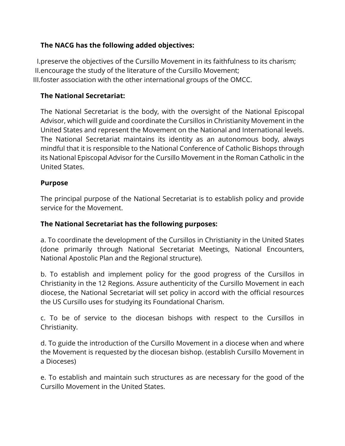### **The NACG has the following added objectives:**

I.preserve the objectives of the Cursillo Movement in its faithfulness to its charism; II.encourage the study of the literature of the Cursillo Movement; III.foster association with the other international groups of the OMCC.

### **The National Secretariat:**

The National Secretariat is the body, with the oversight of the National Episcopal Advisor, which will guide and coordinate the Cursillos in Christianity Movement in the United States and represent the Movement on the National and International levels. The National Secretariat maintains its identity as an autonomous body, always mindful that it is responsible to the National Conference of Catholic Bishops through its National Episcopal Advisor for the Cursillo Movement in the Roman Catholic in the United States.

#### **Purpose**

The principal purpose of the National Secretariat is to establish policy and provide service for the Movement.

#### **The National Secretariat has the following purposes:**

a. To coordinate the development of the Cursillos in Christianity in the United States (done primarily through National Secretariat Meetings, National Encounters, National Apostolic Plan and the Regional structure).

b. To establish and implement policy for the good progress of the Cursillos in Christianity in the 12 Regions. Assure authenticity of the Cursillo Movement in each diocese, the National Secretariat will set policy in accord with the official resources the US Cursillo uses for studying its Foundational Charism.

c. To be of service to the diocesan bishops with respect to the Cursillos in Christianity.

d. To guide the introduction of the Cursillo Movement in a diocese when and where the Movement is requested by the diocesan bishop. (establish Cursillo Movement in a Dioceses)

e. To establish and maintain such structures as are necessary for the good of the Cursillo Movement in the United States.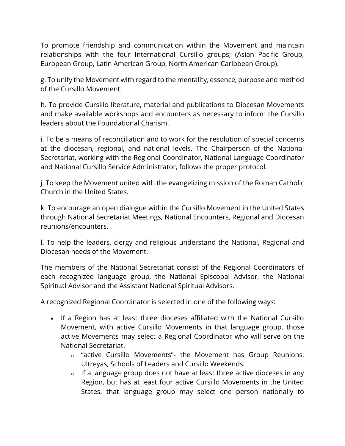To promote friendship and communication within the Movement and maintain relationships with the four International Cursillo groups; (Asian Pacific Group, European Group, Latin American Group, North American Caribbean Group).

g. To unify the Movement with regard to the mentality, essence, purpose and method of the Cursillo Movement.

h. To provide Cursillo literature, material and publications to Diocesan Movements and make available workshops and encounters as necessary to inform the Cursillo leaders about the Foundational Charism.

i. To be a means of reconciliation and to work for the resolution of special concerns at the diocesan, regional, and national levels. The Chairperson of the National Secretariat, working with the Regional Coordinator, National Language Coordinator and National Cursillo Service Administrator, follows the proper protocol.

j. To keep the Movement united with the evangelizing mission of the Roman Catholic Church in the United States.

k. To encourage an open dialogue within the Cursillo Movement in the United States through National Secretariat Meetings, National Encounters, Regional and Diocesan reunions/encounters.

l. To help the leaders, clergy and religious understand the National, Regional and Diocesan needs of the Movement.

The members of the National Secretariat consist of the Regional Coordinators of each recognized language group, the National Episcopal Advisor, the National Spiritual Advisor and the Assistant National Spiritual Advisors.

A recognized Regional Coordinator is selected in one of the following ways:

- If a Region has at least three dioceses affiliated with the National Cursillo Movement, with active Cursillo Movements in that language group, those active Movements may select a Regional Coordinator who will serve on the National Secretariat.
	- o "active Cursillo Movements"- the Movement has Group Reunions, Ultreyas, Schools of Leaders and Cursillo Weekends.
	- $\circ$  If a language group does not have at least three active dioceses in any Region, but has at least four active Cursillo Movements in the United States, that language group may select one person nationally to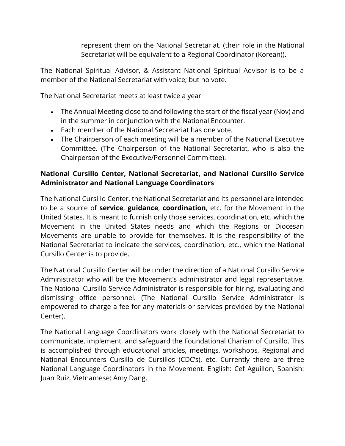represent them on the National Secretariat. (their role in the National Secretariat will be equivalent to a Regional Coordinator (Korean)).

The National Spiritual Advisor, & Assistant National Spiritual Advisor is to be a member of the National Secretariat with voice; but no vote.

The National Secretariat meets at least twice a year

- The Annual Meeting close to and following the start of the fiscal year (Nov) and in the summer in conjunction with the National Encounter.
- Each member of the National Secretariat has one vote.
- The Chairperson of each meeting will be a member of the National Executive Committee. (The Chairperson of the National Secretariat, who is also the Chairperson of the Executive/Personnel Committee).

### **National Cursillo Center, National Secretariat, and National Cursillo Service Administrator and National Language Coordinators**

The National Cursillo Center, the National Secretariat and its personnel are intended to be a source of **service**, **guidance**, **coordination**, etc. for the Movement in the United States. It is meant to furnish only those services, coordination, etc. which the Movement in the United States needs and which the Regions or Diocesan Movements are unable to provide for themselves. It is the responsibility of the National Secretariat to indicate the services, coordination, etc., which the National Cursillo Center is to provide.

The National Cursillo Center will be under the direction of a National Cursillo Service Administrator who will be the Movement's administrator and legal representative. The National Cursillo Service Administrator is responsible for hiring, evaluating and dismissing office personnel. (The National Cursillo Service Administrator is empowered to charge a fee for any materials or services provided by the National Center).

The National Language Coordinators work closely with the National Secretariat to communicate, implement, and safeguard the Foundational Charism of Cursillo. This is accomplished through educational articles, meetings, workshops, Regional and National Encounters Cursillo de Cursillos (CDC's), etc. Currently there are three National Language Coordinators in the Movement. English: Cef Aguillon, Spanish: Juan Ruiz, Vietnamese: Amy Dang.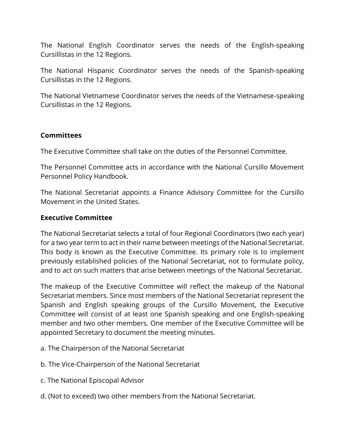The National English Coordinator serves the needs of the English-speaking Cursillistas in the 12 Regions.

The National Hispanic Coordinator serves the needs of the Spanish-speaking Cursillistas in the 12 Regions.

The National Vietnamese Coordinator serves the needs of the Vietnamese-speaking Cursillistas in the 12 Regions.

#### **Committees**

The Executive Committee shall take on the duties of the Personnel Committee.

The Personnel Committee acts in accordance with the National Cursillo Movement Personnel Policy Handbook.

The National Secretariat appoints a Finance Advisory Committee for the Cursillo Movement in the United States.

#### **Executive Committee**

The National Secretariat selects a total of four Regional Coordinators (two each year) for a two year term to act in their name between meetings of the National Secretariat. This body is known as the Executive Committee. Its primary role is to implement previously established policies of the National Secretariat, not to formulate policy, and to act on such matters that arise between meetings of the National Secretariat.

The makeup of the Executive Committee will reflect the makeup of the National Secretariat members. Since most members of the National Secretariat represent the Spanish and English speaking groups of the Cursillo Movement, the Executive Committee will consist of at least one Spanish speaking and one English-speaking member and two other members. One member of the Executive Committee will be appointed Secretary to document the meeting minutes.

- a. The Chairperson of the National Secretariat
- b. The Vice-Chairperson of the National Secretariat
- c. The National Episcopal Advisor
- d. (Not to exceed) two other members from the National Secretariat.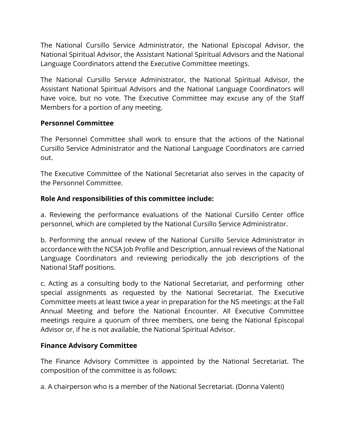The National Cursillo Service Administrator, the National Episcopal Advisor, the National Spiritual Advisor, the Assistant National Spiritual Advisors and the National Language Coordinators attend the Executive Committee meetings.

The National Cursillo Service Administrator, the National Spiritual Advisor, the Assistant National Spiritual Advisors and the National Language Coordinators will have voice, but no vote. The Executive Committee may excuse any of the Staff Members for a portion of any meeting.

#### **Personnel Committee**

The Personnel Committee shall work to ensure that the actions of the National Cursillo Service Administrator and the National Language Coordinators are carried out.

The Executive Committee of the National Secretariat also serves in the capacity of the Personnel Committee.

#### **Role And responsibilities of this committee include:**

a. Reviewing the performance evaluations of the National Cursillo Center office personnel, which are completed by the National Cursillo Service Administrator.

b. Performing the annual review of the National Cursillo Service Administrator in accordance with the NCSA Job Profile and Description, annual reviews of the National Language Coordinators and reviewing periodically the job descriptions of the National Staff positions.

c. Acting as a consulting body to the National Secretariat, and performing other special assignments as requested by the National Secretariat. The Executive Committee meets at least twice a year in preparation for the NS meetings: at the Fall Annual Meeting and before the National Encounter. All Executive Committee meetings require a quorum of three members, one being the National Episcopal Advisor or, if he is not available, the National Spiritual Advisor.

#### **Finance Advisory Committee**

The Finance Advisory Committee is appointed by the National Secretariat. The composition of the committee is as follows:

a. A chairperson who is a member of the National Secretariat. (Donna Valenti)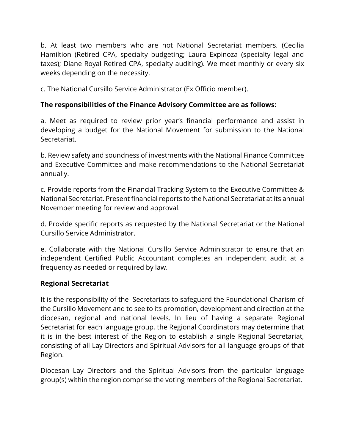b. At least two members who are not National Secretariat members. (Cecilia Hamiltion (Retired CPA, specialty budgeting; Laura Expinoza (specialty legal and taxes); Diane Royal Retired CPA, specialty auditing). We meet monthly or every six weeks depending on the necessity.

c. The National Cursillo Service Administrator (Ex Officio member).

### **The responsibilities of the Finance Advisory Committee are as follows:**

a. Meet as required to review prior year's financial performance and assist in developing a budget for the National Movement for submission to the National Secretariat.

b. Review safety and soundness of investments with the National Finance Committee and Executive Committee and make recommendations to the National Secretariat annually.

c. Provide reports from the Financial Tracking System to the Executive Committee & National Secretariat. Present financial reports to the National Secretariat at its annual November meeting for review and approval.

d. Provide specific reports as requested by the National Secretariat or the National Cursillo Service Administrator.

e. Collaborate with the National Cursillo Service Administrator to ensure that an independent Certified Public Accountant completes an independent audit at a frequency as needed or required by law.

#### **Regional Secretariat**

It is the responsibility of the Secretariats to safeguard the Foundational Charism of the Cursillo Movement and to see to its promotion, development and direction at the diocesan, regional and national levels. In lieu of having a separate Regional Secretariat for each language group, the Regional Coordinators may determine that it is in the best interest of the Region to establish a single Regional Secretariat, consisting of all Lay Directors and Spiritual Advisors for all language groups of that Region.

Diocesan Lay Directors and the Spiritual Advisors from the particular language group(s) within the region comprise the voting members of the Regional Secretariat.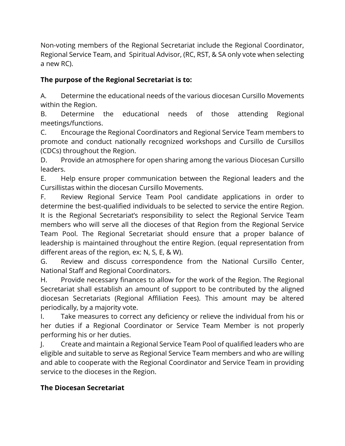Non-voting members of the Regional Secretariat include the Regional Coordinator, Regional Service Team, and Spiritual Advisor, (RC, RST, & SA only vote when selecting a new RC).

## **The purpose of the Regional Secretariat is to:**

A. Determine the educational needs of the various diocesan Cursillo Movements within the Region.

B. Determine the educational needs of those attending Regional meetings/functions.

C. Encourage the Regional Coordinators and Regional Service Team members to promote and conduct nationally recognized workshops and Cursillo de Cursillos (CDCs) throughout the Region.

D. Provide an atmosphere for open sharing among the various Diocesan Cursillo leaders.

E. Help ensure proper communication between the Regional leaders and the Cursillistas within the diocesan Cursillo Movements.

F. Review Regional Service Team Pool candidate applications in order to determine the best-qualified individuals to be selected to service the entire Region. It is the Regional Secretariat's responsibility to select the Regional Service Team members who will serve all the dioceses of that Region from the Regional Service Team Pool. The Regional Secretariat should ensure that a proper balance of leadership is maintained throughout the entire Region. (equal representation from different areas of the region, ex: N, S, E, & W).

G. Review and discuss correspondence from the National Cursillo Center, National Staff and Regional Coordinators.

H. Provide necessary finances to allow for the work of the Region. The Regional Secretariat shall establish an amount of support to be contributed by the aligned diocesan Secretariats (Regional Affiliation Fees). This amount may be altered periodically, by a majority vote.

I. Take measures to correct any deficiency or relieve the individual from his or her duties if a Regional Coordinator or Service Team Member is not properly performing his or her duties.

J. Create and maintain a Regional Service Team Pool of qualified leaders who are eligible and suitable to serve as Regional Service Team members and who are willing and able to cooperate with the Regional Coordinator and Service Team in providing service to the dioceses in the Region.

## **The Diocesan Secretariat**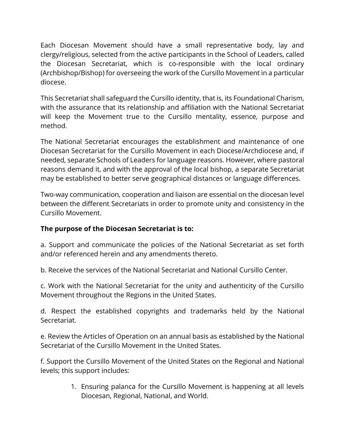Each Diocesan Movement should have a small representative body, lay and clergy/religious, selected from the active participants in the School of Leaders, called the Diocesan Secretariat, which is co-responsible with the local ordinary (Archbishop/Bishop) for overseeing the work of the Cursillo Movement in a particular diocese.

This Secretariat shall safeguard the Cursillo identity, that is, its Foundational Charism, with the assurance that its relationship and affiliation with the National Secretariat will keep the Movement true to the Cursillo mentality, essence, purpose and method.

The National Secretariat encourages the establishment and maintenance of one Diocesan Secretariat for the Cursillo Movement in each Diocese/Archdiocese and, if needed, separate Schools of Leaders for language reasons. However, where pastoral reasons demand it, and with the approval of the local bishop, a separate Secretariat may be established to better serve geographical distances or language differences.

Two-way communication, cooperation and liaison are essential on the diocesan level between the different Secretariats in order to promote unity and consistency in the Cursillo Movement.

### **The purpose of the Diocesan Secretariat is to:**

a. Support and communicate the policies of the National Secretariat as set forth and/or referenced herein and any amendments thereto.

b. Receive the services of the National Secretariat and National Cursillo Center.

c. Work with the National Secretariat for the unity and authenticity of the Cursillo Movement throughout the Regions in the United States.

d. Respect the established copyrights and trademarks held by the National Secretariat.

e. Review the Articles of Operation on an annual basis as established by the National Secretariat of the Cursillo Movement in the United States.

f. Support the Cursillo Movement of the United States on the Regional and National levels; this support includes:

> 1. Ensuring palanca for the Cursillo Movement is happening at all levels Diocesan, Regional, National, and World.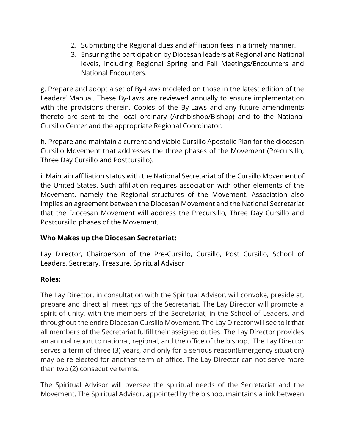- 2. Submitting the Regional dues and affiliation fees in a timely manner.
- 3. Ensuring the participation by Diocesan leaders at Regional and National levels, including Regional Spring and Fall Meetings/Encounters and National Encounters.

g. Prepare and adopt a set of By-Laws modeled on those in the latest edition of the Leaders' Manual. These By-Laws are reviewed annually to ensure implementation with the provisions therein. Copies of the By-Laws and any future amendments thereto are sent to the local ordinary (Archbishop/Bishop) and to the National Cursillo Center and the appropriate Regional Coordinator.

h. Prepare and maintain a current and viable Cursillo Apostolic Plan for the diocesan Cursillo Movement that addresses the three phases of the Movement (Precursillo, Three Day Cursillo and Postcursillo).

i. Maintain affiliation status with the National Secretariat of the Cursillo Movement of the United States. Such affiliation requires association with other elements of the Movement, namely the Regional structures of the Movement. Association also implies an agreement between the Diocesan Movement and the National Secretariat that the Diocesan Movement will address the Precursillo, Three Day Cursillo and Postcursillo phases of the Movement.

#### **Who Makes up the Diocesan Secretariat:**

Lay Director, Chairperson of the Pre-Cursillo, Cursillo, Post Cursillo, School of Leaders, Secretary, Treasure, Spiritual Advisor

### **Roles:**

The Lay Director, in consultation with the Spiritual Advisor, will convoke, preside at, prepare and direct all meetings of the Secretariat. The Lay Director will promote a spirit of unity, with the members of the Secretariat, in the School of Leaders, and throughout the entire Diocesan Cursillo Movement. The Lay Director will see to it that all members of the Secretariat fulfill their assigned duties. The Lay Director provides an annual report to national, regional, and the office of the bishop. The Lay Director serves a term of three (3) years, and only for a serious reason(Emergency situation) may be re-elected for another term of office. The Lay Director can not serve more than two (2) consecutive terms.

The Spiritual Advisor will oversee the spiritual needs of the Secretariat and the Movement. The Spiritual Advisor, appointed by the bishop, maintains a link between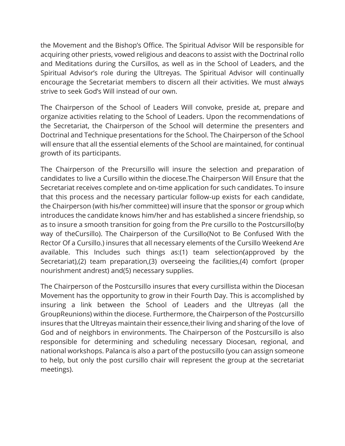the Movement and the Bishop's Office. The Spiritual Advisor Will be responsible for acquiring other priests, vowed religious and deacons to assist with the Doctrinal rollo and Meditations during the Cursillos, as well as in the School of Leaders, and the Spiritual Advisor's role during the Ultreyas. The Spiritual Advisor will continually encourage the Secretariat members to discern all their activities. We must always strive to seek God's Will instead of our own.

The Chairperson of the School of Leaders Will convoke, preside at, prepare and organize activities relating to the School of Leaders. Upon the recommendations of the Secretariat, the Chairperson of the School will determine the presenters and Doctrinal and Technique presentations for the School. The Chairperson of the School will ensure that all the essential elements of the School are maintained, for continual growth of its participants.

The Chairperson of the Precursillo will insure the selection and preparation of candidates to live a Cursillo within the diocese.The Chairperson Will Ensure that the Secretariat receives complete and on-time application for such candidates. To insure that this process and the necessary particular follow-up exists for each candidate, the Chairperson (with his/her committee) will insure that the sponsor or group which introduces the candidate knows him/her and has established a sincere friendship, so as to insure a smooth transition for going from the Pre cursillo to the Postcursillo(by way of theCursillo). The Chairperson of the Cursillo(Not to Be Confused With the Rector Of a Cursillo.) insures that all necessary elements of the Cursillo Weekend Are available. This Includes such things as:(1) team selection(approved by the Secretariat),(2) team preparation,(3) overseeing the facilities,(4) comfort (proper nourishment andrest) and(5) necessary supplies.

The Chairperson of the Postcursillo insures that every cursillista within the Diocesan Movement has the opportunity to grow in their Fourth Day. This is accomplished by insuring a link between the School of Leaders and the Ultreyas (all the GroupReunions) within the diocese. Furthermore, the Chairperson of the Postcursillo insures that the Ultreyas maintain their essence,their living and sharing of the love of God and of neighbors in environments. The Chairperson of the Postcursillo is also responsible for determining and scheduling necessary Diocesan, regional, and national workshops. Palanca is also a part of the postucsillo (you can assign someone to help, but only the post cursillo chair will represent the group at the secretariat meetings).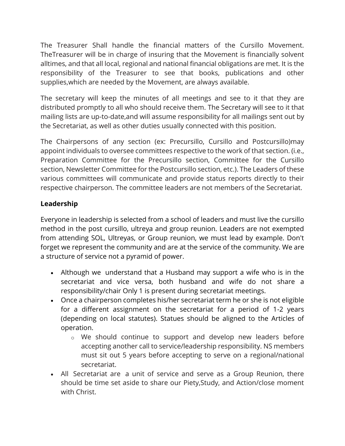The Treasurer Shall handle the financial matters of the Cursillo Movement. TheTreasurer will be in charge of insuring that the Movement is financially solvent alltimes, and that all local, regional and national financial obligations are met. It is the responsibility of the Treasurer to see that books, publications and other supplies,which are needed by the Movement, are always available.

The secretary will keep the minutes of all meetings and see to it that they are distributed promptly to all who should receive them. The Secretary will see to it that mailing lists are up-to-date,and will assume responsibility for all mailings sent out by the Secretariat, as well as other duties usually connected with this position.

The Chairpersons of any section (ex: Precursillo, Cursillo and Postcursillo)may appoint individuals to oversee committees respective to the work of that section. (i.e., Preparation Committee for the Precursillo section, Committee for the Cursillo section, Newsletter Committee for the Postcursillo section, etc.). The Leaders of these various committees will communicate and provide status reports directly to their respective chairperson. The committee leaders are not members of the Secretariat.

### **Leadership**

Everyone in leadership is selected from a school of leaders and must live the cursillo method in the post cursillo, ultreya and group reunion. Leaders are not exempted from attending SOL, Ultreyas, or Group reunion, we must lead by example. Don't forget we represent the community and are at the service of the community. We are a structure of service not a pyramid of power.

- Although we understand that a Husband may support a wife who is in the secretariat and vice versa, both husband and wife do not share a responsibility/chair Only 1 is present during secretariat meetings.
- Once a chairperson completes his/her secretariat term he or she is not eligible for a different assignment on the secretariat for a period of 1-2 years (depending on local statutes). Statues should be aligned to the Articles of operation.
	- o We should continue to support and develop new leaders before accepting another call to service/leadership responsibility. NS members must sit out 5 years before accepting to serve on a regional/national secretariat.
- All Secretariat are a unit of service and serve as a Group Reunion, there should be time set aside to share our Piety,Study, and Action/close moment with Christ.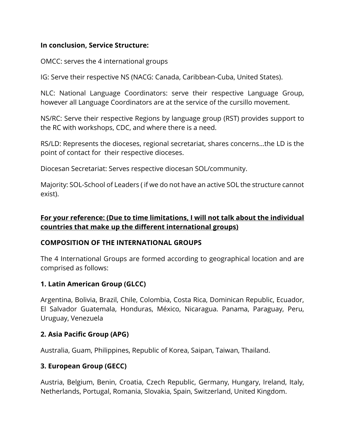#### **In conclusion, Service Structure:**

OMCC: serves the 4 international groups

IG: Serve their respective NS (NACG: Canada, Caribbean-Cuba, United States).

NLC: National Language Coordinators: serve their respective Language Group, however all Language Coordinators are at the service of the cursillo movement.

NS/RC: Serve their respective Regions by language group (RST) provides support to the RC with workshops, CDC, and where there is a need.

RS/LD: Represents the dioceses, regional secretariat, shares concerns…the LD is the point of contact for their respective dioceses.

Diocesan Secretariat: Serves respective diocesan SOL/community.

Majority: SOL-School of Leaders ( if we do not have an active SOL the structure cannot exist).

### **For your reference: (Due to time limitations, I will not talk about the individual countries that make up the different international groups)**

#### **COMPOSITION OF THE INTERNATIONAL GROUPS**

The 4 International Groups are formed according to geographical location and are comprised as follows:

#### **1. Latin American Group (GLCC)**

Argentina, Bolivia, Brazil, Chile, Colombia, Costa Rica, Dominican Republic, Ecuador, El Salvador Guatemala, Honduras, México, Nicaragua. Panama, Paraguay, Peru, Uruguay, Venezuela

#### **2. Asia Pacific Group (APG)**

Australia, Guam, Philippines, Republic of Korea, Saipan, Taiwan, Thailand.

#### **3. European Group (GECC)**

Austria, Belgium, Benin, Croatia, Czech Republic, Germany, Hungary, Ireland, Italy, Netherlands, Portugal, Romania, Slovakia, Spain, Switzerland, United Kingdom.